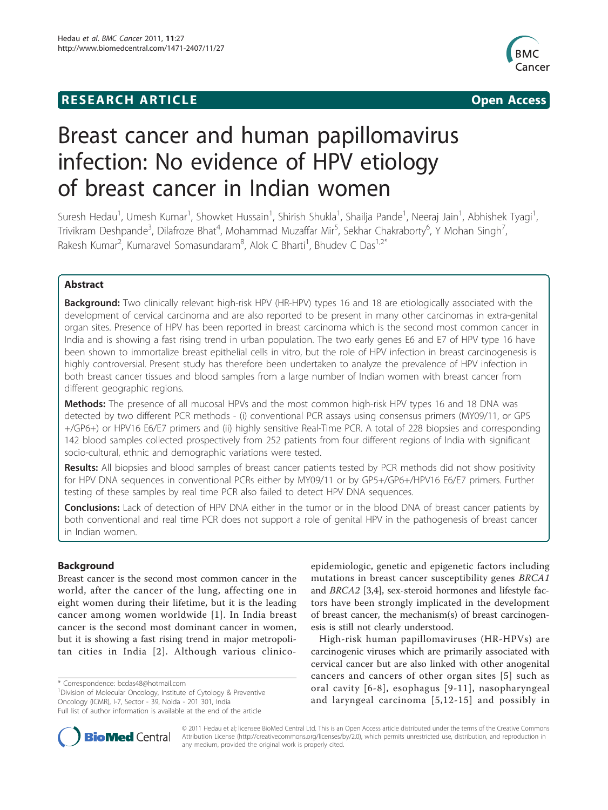# **RESEARCH ARTICLE Example 2008 CONSIDERING CONSIDERING CONSIDERING CONSIDERING CONSIDERING CONSIDERING CONSIDERING CONSIDERING CONSIDERING CONSIDERING CONSIDERING CONSIDERING CONSIDERING CONSIDERING CONSIDERING CONSIDE**



# Breast cancer and human papillomavirus infection: No evidence of HPV etiology of breast cancer in Indian women

Suresh Hedau<sup>1</sup>, Umesh Kumar<sup>1</sup>, Showket Hussain<sup>1</sup>, Shirish Shukla<sup>1</sup>, Shailja Pande<sup>1</sup>, Neeraj Jain<sup>1</sup>, Abhishek Tyagi<sup>1</sup> , Trivikram Deshpande<sup>3</sup>, Dilafroze Bhat<sup>4</sup>, Mohammad Muzaffar Mir<sup>5</sup>, Sekhar Chakraborty<sup>6</sup>, Y Mohan Singh<sup>7</sup> , Rakesh Kumar<sup>2</sup>, Kumaravel Somasundaram<sup>8</sup>, Alok C Bharti<sup>1</sup>, Bhudev C Das<sup>1,2\*</sup>

# Abstract

Background: Two clinically relevant high-risk HPV (HR-HPV) types 16 and 18 are etiologically associated with the development of cervical carcinoma and are also reported to be present in many other carcinomas in extra-genital organ sites. Presence of HPV has been reported in breast carcinoma which is the second most common cancer in India and is showing a fast rising trend in urban population. The two early genes E6 and E7 of HPV type 16 have been shown to immortalize breast epithelial cells in vitro, but the role of HPV infection in breast carcinogenesis is highly controversial. Present study has therefore been undertaken to analyze the prevalence of HPV infection in both breast cancer tissues and blood samples from a large number of Indian women with breast cancer from different geographic regions.

Methods: The presence of all mucosal HPVs and the most common high-risk HPV types 16 and 18 DNA was detected by two different PCR methods - (i) conventional PCR assays using consensus primers (MY09/11, or GP5 +/GP6+) or HPV16 E6/E7 primers and (ii) highly sensitive Real-Time PCR. A total of 228 biopsies and corresponding 142 blood samples collected prospectively from 252 patients from four different regions of India with significant socio-cultural, ethnic and demographic variations were tested.

Results: All biopsies and blood samples of breast cancer patients tested by PCR methods did not show positivity for HPV DNA sequences in conventional PCRs either by MY09/11 or by GP5+/GP6+/HPV16 E6/E7 primers. Further testing of these samples by real time PCR also failed to detect HPV DNA sequences.

**Conclusions:** Lack of detection of HPV DNA either in the tumor or in the blood DNA of breast cancer patients by both conventional and real time PCR does not support a role of genital HPV in the pathogenesis of breast cancer in Indian women.

# Background

Breast cancer is the second most common cancer in the world, after the cancer of the lung, affecting one in eight women during their lifetime, but it is the leading cancer among women worldwide [[1](#page-8-0)]. In India breast cancer is the second most dominant cancer in women, but it is showing a fast rising trend in major metropolitan cities in India [[2\]](#page-8-0). Although various clinico-

\* Correspondence: [bcdas48@hotmail.com](mailto:bcdas48@hotmail.com)

<sup>1</sup> Division of Molecular Oncology, Institute of Cytology & Preventive Oncology (ICMR), I-7, Sector - 39, Noida - 201 301, India

epidemiologic, genetic and epigenetic factors including mutations in breast cancer susceptibility genes BRCA1 and BRCA2 [\[3,4\]](#page-8-0), sex-steroid hormones and lifestyle factors have been strongly implicated in the development of breast cancer, the mechanism(s) of breast carcinogenesis is still not clearly understood.

High-risk human papillomaviruses (HR-HPVs) are carcinogenic viruses which are primarily associated with cervical cancer but are also linked with other anogenital cancers and cancers of other organ sites [[5\]](#page-8-0) such as oral cavity [[6](#page-8-0)-[8\]](#page-8-0), esophagus [[9](#page-8-0)-[11](#page-8-0)], nasopharyngeal and laryngeal carcinoma [[5,12-15\]](#page-8-0) and possibly in



© 2011 Hedau et al; licensee BioMed Central Ltd. This is an Open Access article distributed under the terms of the Creative Commons Attribution License [\(http://creativecommons.org/licenses/by/2.0](http://creativecommons.org/licenses/by/2.0)), which permits unrestricted use, distribution, and reproduction in any medium, provided the original work is properly cited.

Full list of author information is available at the end of the article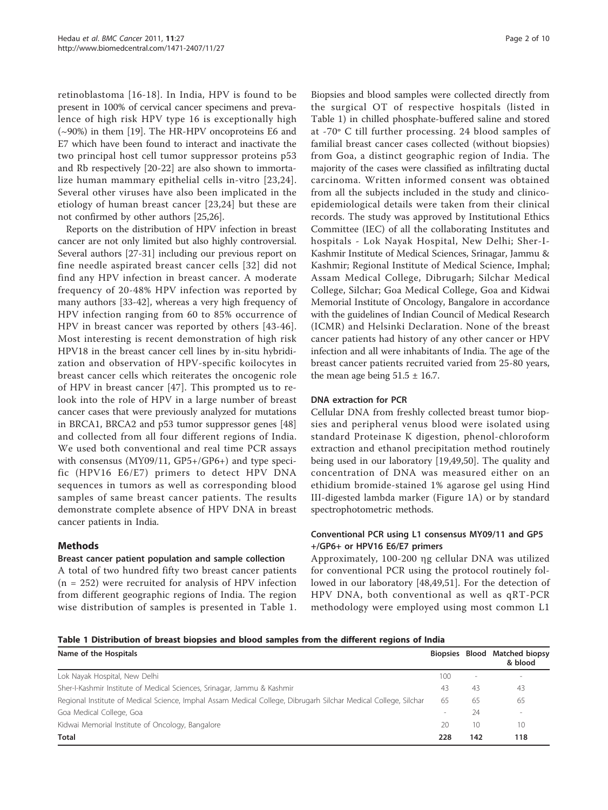retinoblastoma [[16](#page-8-0)-[18\]](#page-8-0). In India, HPV is found to be present in 100% of cervical cancer specimens and prevalence of high risk HPV type 16 is exceptionally high (~90%) in them [[19](#page-8-0)]. The HR-HPV oncoproteins E6 and E7 which have been found to interact and inactivate the two principal host cell tumor suppressor proteins p53 and Rb respectively [\[20](#page-8-0)-[22\]](#page-8-0) are also shown to immortalize human mammary epithelial cells in-vitro [[23](#page-8-0),[24\]](#page-8-0). Several other viruses have also been implicated in the etiology of human breast cancer [[23](#page-8-0),[24\]](#page-8-0) but these are not confirmed by other authors [[25,26\]](#page-8-0).

Reports on the distribution of HPV infection in breast cancer are not only limited but also highly controversial. Several authors [[27-](#page-8-0)[31\]](#page-9-0) including our previous report on fine needle aspirated breast cancer cells [[32](#page-9-0)] did not find any HPV infection in breast cancer. A moderate frequency of 20-48% HPV infection was reported by many authors [\[33](#page-9-0)-[42\]](#page-9-0), whereas a very high frequency of HPV infection ranging from 60 to 85% occurrence of HPV in breast cancer was reported by others [[43-46\]](#page-9-0). Most interesting is recent demonstration of high risk HPV18 in the breast cancer cell lines by in-situ hybridization and observation of HPV-specific koilocytes in breast cancer cells which reiterates the oncogenic role of HPV in breast cancer [\[47](#page-9-0)]. This prompted us to relook into the role of HPV in a large number of breast cancer cases that were previously analyzed for mutations in BRCA1, BRCA2 and p53 tumor suppressor genes [[48](#page-9-0)] and collected from all four different regions of India. We used both conventional and real time PCR assays with consensus (MY09/11, GP5+/GP6+) and type specific (HPV16 E6/E7) primers to detect HPV DNA sequences in tumors as well as corresponding blood samples of same breast cancer patients. The results demonstrate complete absence of HPV DNA in breast cancer patients in India.

# Methods

# Breast cancer patient population and sample collection

A total of two hundred fifty two breast cancer patients  $(n = 252)$  were recruited for analysis of HPV infection from different geographic regions of India. The region wise distribution of samples is presented in Table 1.

Biopsies and blood samples were collected directly from the surgical OT of respective hospitals (listed in Table 1) in chilled phosphate-buffered saline and stored at -70º C till further processing. 24 blood samples of familial breast cancer cases collected (without biopsies) from Goa, a distinct geographic region of India. The majority of the cases were classified as infiltrating ductal carcinoma. Written informed consent was obtained from all the subjects included in the study and clinicoepidemiological details were taken from their clinical records. The study was approved by Institutional Ethics Committee (IEC) of all the collaborating Institutes and hospitals - Lok Nayak Hospital, New Delhi; Sher-I-Kashmir Institute of Medical Sciences, Srinagar, Jammu & Kashmir; Regional Institute of Medical Science, Imphal; Assam Medical College, Dibrugarh; Silchar Medical College, Silchar; Goa Medical College, Goa and Kidwai Memorial Institute of Oncology, Bangalore in accordance with the guidelines of Indian Council of Medical Research (ICMR) and Helsinki Declaration. None of the breast cancer patients had history of any other cancer or HPV infection and all were inhabitants of India. The age of the breast cancer patients recruited varied from 25-80 years, the mean age being  $51.5 \pm 16.7$ .

### DNA extraction for PCR

Cellular DNA from freshly collected breast tumor biopsies and peripheral venus blood were isolated using standard Proteinase K digestion, phenol-chloroform extraction and ethanol precipitation method routinely being used in our laboratory [[19,](#page-8-0)[49,50\]](#page-9-0). The quality and concentration of DNA was measured either on an ethidium bromide-stained 1% agarose gel using Hind III-digested lambda marker (Figure [1A\)](#page-2-0) or by standard spectrophotometric methods.

# Conventional PCR using L1 consensus MY09/11 and GP5 +/GP6+ or HPV16 E6/E7 primers

Approximately, 100-200 hg cellular DNA was utilized for conventional PCR using the protocol routinely followed in our laboratory [[48,49](#page-9-0),[51\]](#page-9-0). For the detection of HPV DNA, both conventional as well as qRT-PCR methodology were employed using most common L1

Table 1 Distribution of breast biopsies and blood samples from the different regions of India

| Name of the Hospitals                                                                                           |     |                | Biopsies Blood Matched biopsy<br>& blood |
|-----------------------------------------------------------------------------------------------------------------|-----|----------------|------------------------------------------|
| Lok Nayak Hospital, New Delhi                                                                                   | 100 | $\overline{a}$ | $\sim$                                   |
| Sher-I-Kashmir Institute of Medical Sciences, Srinagar, Jammu & Kashmir                                         | 43  | 43             | 43                                       |
| Regional Institute of Medical Science, Imphal Assam Medical College, Dibrugarh Silchar Medical College, Silchar | 65  | 65             | 65                                       |
| Goa Medical College, Goa                                                                                        |     | 24             | $\sim$                                   |
| Kidwai Memorial Institute of Oncology, Bangalore                                                                | 20  | 10             | 10                                       |
| <b>Total</b>                                                                                                    | 228 | 142            | 118                                      |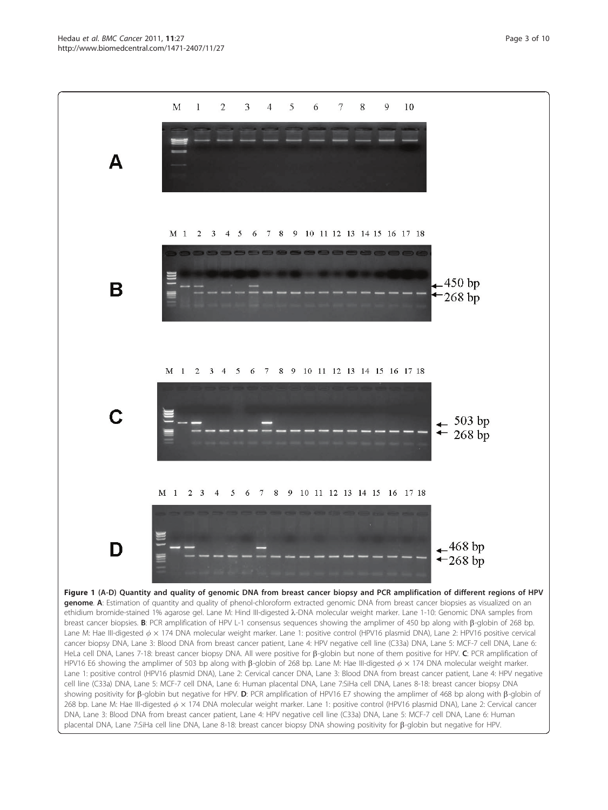<span id="page-2-0"></span>Hedau et al. BMC Cancer 2011, 11:27 http://www.biomedcentral.com/1471-2407/11/27



placental DNA, Lane 7: Si Ha cell line DNA, Lane 8-18: breast cancer biopsy DNA showing positivity for β-globin but negative for HPV.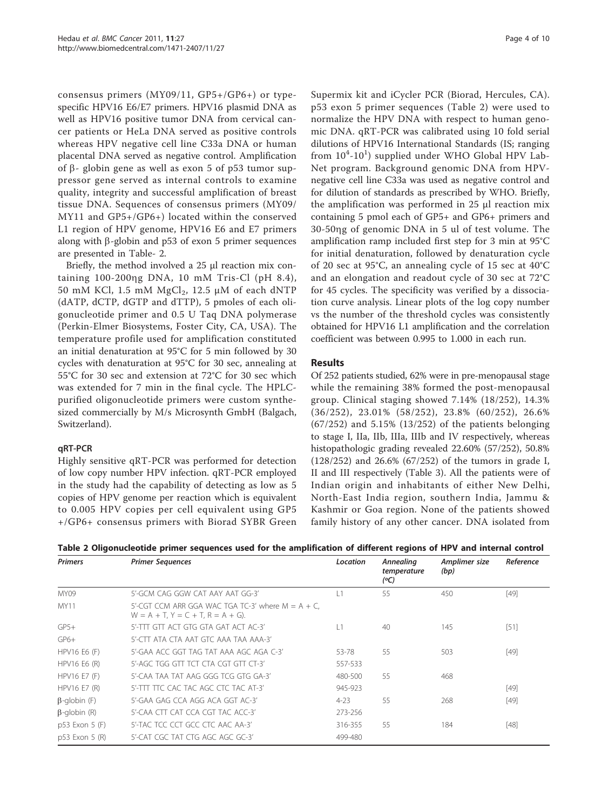<span id="page-3-0"></span>consensus primers (MY09/11, GP5+/GP6+) or typespecific HPV16 E6/E7 primers. HPV16 plasmid DNA as well as HPV16 positive tumor DNA from cervical cancer patients or HeLa DNA served as positive controls whereas HPV negative cell line C33a DNA or human placental DNA served as negative control. Amplification of  $\beta$ - globin gene as well as exon 5 of p53 tumor suppressor gene served as internal controls to examine quality, integrity and successful amplification of breast tissue DNA. Sequences of consensus primers (MY09/ MY11 and GP5+/GP6+) located within the conserved L1 region of HPV genome, HPV16 E6 and E7 primers along with  $\beta$ -globin and p53 of exon 5 primer sequences are presented in Table- 2.

Briefly, the method involved a 25 μl reaction mix containing 100-200hg DNA, 10 mM Tris-Cl (pH 8.4), 50 mM KCl, 1.5 mM  $MgCl<sub>2</sub>$ , 12.5 µM of each dNTP (dATP, dCTP, dGTP and dTTP), 5 pmoles of each oligonucleotide primer and 0.5 U Taq DNA polymerase (Perkin-Elmer Biosystems, Foster City, CA, USA). The temperature profile used for amplification constituted an initial denaturation at 95°C for 5 min followed by 30 cycles with denaturation at 95°C for 30 sec, annealing at 55°C for 30 sec and extension at 72°C for 30 sec which was extended for 7 min in the final cycle. The HPLCpurified oligonucleotide primers were custom synthesized commercially by M/s Microsynth GmbH (Balgach, Switzerland).

# qRT-PCR

Highly sensitive qRT-PCR was performed for detection of low copy number HPV infection. qRT-PCR employed in the study had the capability of detecting as low as 5 copies of HPV genome per reaction which is equivalent to 0.005 HPV copies per cell equivalent using GP5 +/GP6+ consensus primers with Biorad SYBR Green Supermix kit and iCycler PCR (Biorad, Hercules, CA). p53 exon 5 primer sequences (Table 2) were used to normalize the HPV DNA with respect to human genomic DNA. qRT-PCR was calibrated using 10 fold serial dilutions of HPV16 International Standards (IS; ranging from  $10^4$ - $10^1$ ) supplied under WHO Global HPV Lab-Net program. Background genomic DNA from HPVnegative cell line C33a was used as negative control and for dilution of standards as prescribed by WHO. Briefly, the amplification was performed in 25 μl reaction mix containing 5 pmol each of GP5+ and GP6+ primers and 30-50hg of genomic DNA in 5 ul of test volume. The amplification ramp included first step for 3 min at 95°C for initial denaturation, followed by denaturation cycle of 20 sec at 95°C, an annealing cycle of 15 sec at 40°C and an elongation and readout cycle of 30 sec at 72°C for 45 cycles. The specificity was verified by a dissociation curve analysis. Linear plots of the log copy number vs the number of the threshold cycles was consistently obtained for HPV16 L1 amplification and the correlation coefficient was between 0.995 to 1.000 in each run.

# Results

Of 252 patients studied, 62% were in pre-menopausal stage while the remaining 38% formed the post-menopausal group. Clinical staging showed 7.14% (18/252), 14.3% (36/252), 23.01% (58/252), 23.8% (60/252), 26.6% (67/252) and 5.15% (13/252) of the patients belonging to stage I, IIa, IIb, IIIa, IIIb and IV respectively, whereas histopathologic grading revealed 22.60% (57/252), 50.8% (128/252) and 26.6% (67/252) of the tumors in grade I, II and III respectively (Table [3\)](#page-4-0). All the patients were of Indian origin and inhabitants of either New Delhi, North-East India region, southern India, Jammu & Kashmir or Goa region. None of the patients showed family history of any other cancer. DNA isolated from

| Table 2 Oligonucleotide primer sequences used for the amplification of different regions of HPV and internal control |  |  |  |  |
|----------------------------------------------------------------------------------------------------------------------|--|--|--|--|
|----------------------------------------------------------------------------------------------------------------------|--|--|--|--|

| <b>Primers</b>      | <b>Primer Sequences</b>                                                                            | Location | <b>Annealing</b><br>temperature<br>(°C) | Amplimer size<br>(bp) | Reference |
|---------------------|----------------------------------------------------------------------------------------------------|----------|-----------------------------------------|-----------------------|-----------|
| MY09                | 5'-GCM CAG GGW CAT AAY AAT GG-3'                                                                   |          | 55                                      | 450                   | $[49]$    |
| <b>MY11</b>         | 5'-CGT CCM ARR GGA WAC TGA TC-3' where $M = A + C$ ,<br>$W = A + T$ , $Y = C + T$ , $R = A + G$ ). |          |                                         |                       |           |
| $GP5+$              | 5'-TTT GTT ACT GTG GTA GAT ACT AC-3'                                                               |          | 40                                      | 145                   | $[51]$    |
| $GP6+$              | 5'-CTT ATA CTA AAT GTC AAA TAA AAA-3'                                                              |          |                                         |                       |           |
| <b>HPV16 E6 (F)</b> | 5'-GAA ACC GGT TAG TAT AAA AGC AGA C-3'                                                            | 53-78    | 55                                      | 503                   | $[49]$    |
| HPV16 E6 (R)        | 5'-AGC TGG GTT TCT CTA CGT GTT CT-3'                                                               | 557-533  |                                         |                       |           |
| <b>HPV16 E7 (F)</b> | 5'-CAA TAA TAT AAG GGG TCG GTG GA-3'                                                               | 480-500  | 55                                      | 468                   |           |
| HPV16 E7 (R)        | 5'-TTT TTC CAC TAC AGC CTC TAC AT-3'                                                               | 945-923  |                                         |                       | $[49]$    |
| $\beta$ -globin (F) | 5'-GAA GAG CCA AGG ACA GGT AC-3'                                                                   | $4 - 23$ | 55                                      | 268                   | $[49]$    |
| $\beta$ -globin (R) | 5'-CAA CTT CAT CCA CGT TAC ACC-3'                                                                  | 273-256  |                                         |                       |           |
| p53 Exon 5 (F)      | 5'-TAC TCC CCT GCC CTC AAC AA-3'                                                                   | 316-355  | 55                                      | 184                   | $[48]$    |
| p53 Exon 5 (R)      | 5'-CAT CGC TAT CTG AGC AGC GC-3'                                                                   | 499-480  |                                         |                       |           |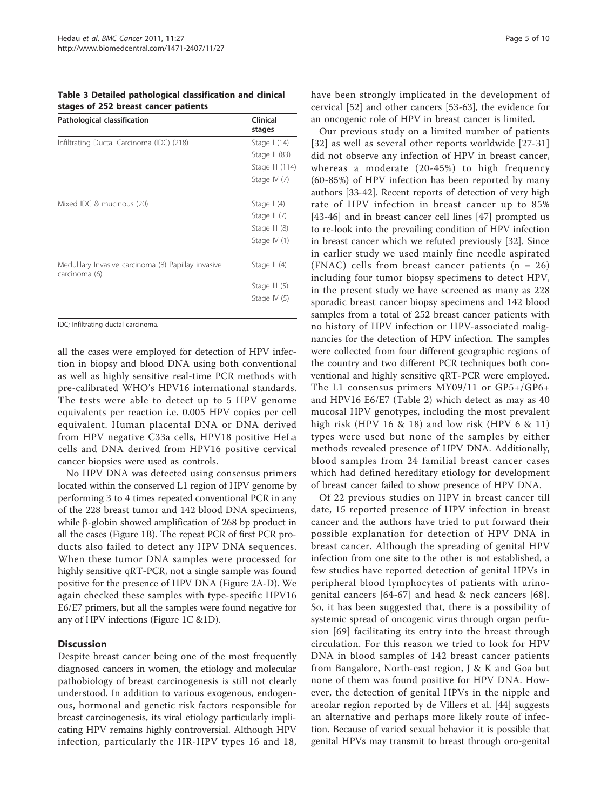<span id="page-4-0"></span>Table 3 Detailed pathological classification and clinical stages of 252 breast cancer patients

| Pathological classification                                          | <b>Clinical</b><br>stages |
|----------------------------------------------------------------------|---------------------------|
| Infiltrating Ductal Carcinoma (IDC) (218)                            | Stage $\mid$ (14)         |
|                                                                      | Stage II (83)             |
|                                                                      | Stage III (114)           |
|                                                                      | Stage IV (7)              |
| Mixed IDC & mucinous (20)                                            | Stage $\vert$ (4)         |
|                                                                      | Stage II (7)              |
|                                                                      | Stage III (8)             |
|                                                                      | Stage IV (1)              |
| Medulllary Invasive carcinoma (8) Papillay invasive<br>carcinoma (6) | Stage II (4)              |
|                                                                      | Stage III (5)             |
|                                                                      | Stage IV (5)              |
|                                                                      |                           |

IDC; Infiltrating ductal carcinoma.

all the cases were employed for detection of HPV infection in biopsy and blood DNA using both conventional as well as highly sensitive real-time PCR methods with pre-calibrated WHO's HPV16 international standards. The tests were able to detect up to 5 HPV genome equivalents per reaction i.e. 0.005 HPV copies per cell equivalent. Human placental DNA or DNA derived from HPV negative C33a cells, HPV18 positive HeLa cells and DNA derived from HPV16 positive cervical cancer biopsies were used as controls.

No HPV DNA was detected using consensus primers located within the conserved L1 region of HPV genome by performing 3 to 4 times repeated conventional PCR in any of the 228 breast tumor and 142 blood DNA specimens, while  $\beta$ -globin showed amplification of 268 bp product in all the cases (Figure [1B\)](#page-2-0). The repeat PCR of first PCR products also failed to detect any HPV DNA sequences. When these tumor DNA samples were processed for highly sensitive qRT-PCR, not a single sample was found positive for the presence of HPV DNA (Figure [2A-D](#page-5-0)). We again checked these samples with type-specific HPV16 E6/E7 primers, but all the samples were found negative for any of HPV infections (Figure [1C](#page-2-0) [&1D\)](#page-2-0).

#### **Discussion**

Despite breast cancer being one of the most frequently diagnosed cancers in women, the etiology and molecular pathobiology of breast carcinogenesis is still not clearly understood. In addition to various exogenous, endogenous, hormonal and genetic risk factors responsible for breast carcinogenesis, its viral etiology particularly implicating HPV remains highly controversial. Although HPV infection, particularly the HR-HPV types 16 and 18, have been strongly implicated in the development of cervical [\[52](#page-9-0)] and other cancers [[53-63\]](#page-9-0), the evidence for an oncogenic role of HPV in breast cancer is limited.

Our previous study on a limited number of patients [[32](#page-9-0)] as well as several other reports worldwide [\[27-](#page-8-0)[31](#page-9-0)] did not observe any infection of HPV in breast cancer, whereas a moderate (20-45%) to high frequency (60-85%) of HPV infection has been reported by many authors [[33-42\]](#page-9-0). Recent reports of detection of very high rate of HPV infection in breast cancer up to 85% [[43-46](#page-9-0)] and in breast cancer cell lines [\[47](#page-9-0)] prompted us to re-look into the prevailing condition of HPV infection in breast cancer which we refuted previously [\[32\]](#page-9-0). Since in earlier study we used mainly fine needle aspirated (FNAC) cells from breast cancer patients  $(n = 26)$ including four tumor biopsy specimens to detect HPV, in the present study we have screened as many as 228 sporadic breast cancer biopsy specimens and 142 blood samples from a total of 252 breast cancer patients with no history of HPV infection or HPV-associated malignancies for the detection of HPV infection. The samples were collected from four different geographic regions of the country and two different PCR techniques both conventional and highly sensitive qRT-PCR were employed. The L1 consensus primers MY09/11 or GP5+/GP6+ and HPV16 E6/E7 (Table [2\)](#page-3-0) which detect as may as 40 mucosal HPV genotypes, including the most prevalent high risk (HPV 16 & 18) and low risk (HPV 6 & 11) types were used but none of the samples by either methods revealed presence of HPV DNA. Additionally, blood samples from 24 familial breast cancer cases which had defined hereditary etiology for development of breast cancer failed to show presence of HPV DNA.

Of 22 previous studies on HPV in breast cancer till date, 15 reported presence of HPV infection in breast cancer and the authors have tried to put forward their possible explanation for detection of HPV DNA in breast cancer. Although the spreading of genital HPV infection from one site to the other is not established, a few studies have reported detection of genital HPVs in peripheral blood lymphocytes of patients with urinogenital cancers [[64-67\]](#page-9-0) and head & neck cancers [[68\]](#page-9-0). So, it has been suggested that, there is a possibility of systemic spread of oncogenic virus through organ perfusion [[69](#page-9-0)] facilitating its entry into the breast through circulation. For this reason we tried to look for HPV DNA in blood samples of 142 breast cancer patients from Bangalore, North-east region, J & K and Goa but none of them was found positive for HPV DNA. However, the detection of genital HPVs in the nipple and areolar region reported by de Villers et al. [[44\]](#page-9-0) suggests an alternative and perhaps more likely route of infection. Because of varied sexual behavior it is possible that genital HPVs may transmit to breast through oro-genital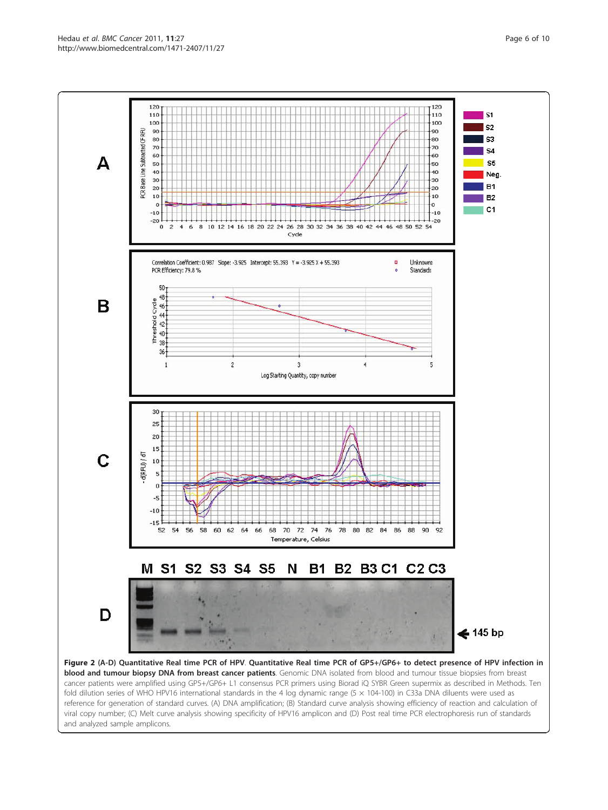<span id="page-5-0"></span>

reference for generation of standard curves. (A) DNA amplification; (B) Standard curve analysis showing efficiency of reaction and calculation of viral copy number; (C) Melt curve analysis showing specificity of HPV16 amplicon and (D) Post real time PCR electrophoresis run of standards and analyzed sample amplicons.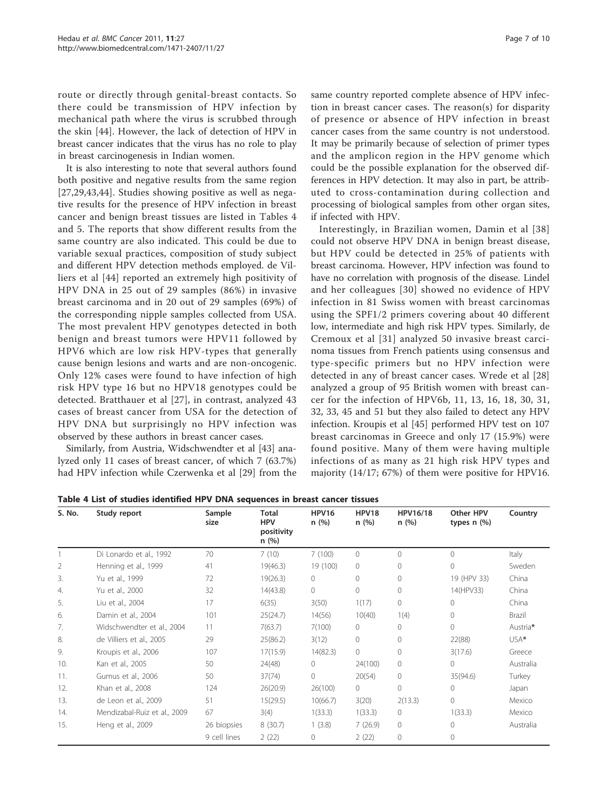route or directly through genital-breast contacts. So there could be transmission of HPV infection by mechanical path where the virus is scrubbed through the skin [[44\]](#page-9-0). However, the lack of detection of HPV in breast cancer indicates that the virus has no role to play in breast carcinogenesis in Indian women.

It is also interesting to note that several authors found both positive and negative results from the same region [[27,29](#page-8-0),[43,44](#page-9-0)]. Studies showing positive as well as negative results for the presence of HPV infection in breast cancer and benign breast tissues are listed in Tables 4 and [5](#page-7-0). The reports that show different results from the same country are also indicated. This could be due to variable sexual practices, composition of study subject and different HPV detection methods employed. de Villiers et al [\[44](#page-9-0)] reported an extremely high positivity of HPV DNA in 25 out of 29 samples (86%) in invasive breast carcinoma and in 20 out of 29 samples (69%) of the corresponding nipple samples collected from USA. The most prevalent HPV genotypes detected in both benign and breast tumors were HPV11 followed by HPV6 which are low risk HPV-types that generally cause benign lesions and warts and are non-oncogenic. Only 12% cases were found to have infection of high risk HPV type 16 but no HPV18 genotypes could be detected. Bratthauer et al [[27\]](#page-8-0), in contrast, analyzed 43 cases of breast cancer from USA for the detection of HPV DNA but surprisingly no HPV infection was observed by these authors in breast cancer cases.

Similarly, from Austria, Widschwendter et al [\[43](#page-9-0)] analyzed only 11 cases of breast cancer, of which 7 (63.7%) had HPV infection while Czerwenka et al [[29](#page-8-0)] from the same country reported complete absence of HPV infection in breast cancer cases. The reason(s) for disparity of presence or absence of HPV infection in breast cancer cases from the same country is not understood. It may be primarily because of selection of primer types and the amplicon region in the HPV genome which could be the possible explanation for the observed differences in HPV detection. It may also in part, be attributed to cross-contamination during collection and processing of biological samples from other organ sites, if infected with HPV.

Interestingly, in Brazilian women, Damin et al [[38](#page-9-0)] could not observe HPV DNA in benign breast disease, but HPV could be detected in 25% of patients with breast carcinoma. However, HPV infection was found to have no correlation with prognosis of the disease. Lindel and her colleagues [[30](#page-9-0)] showed no evidence of HPV infection in 81 Swiss women with breast carcinomas using the SPF1/2 primers covering about 40 different low, intermediate and high risk HPV types. Similarly, de Cremoux et al [[31\]](#page-9-0) analyzed 50 invasive breast carcinoma tissues from French patients using consensus and type-specific primers but no HPV infection were detected in any of breast cancer cases. Wrede et al [\[28](#page-8-0)] analyzed a group of 95 British women with breast cancer for the infection of HPV6b, 11, 13, 16, 18, 30, 31, 32, 33, 45 and 51 but they also failed to detect any HPV infection. Kroupis et al [\[45](#page-9-0)] performed HPV test on 107 breast carcinomas in Greece and only 17 (15.9%) were found positive. Many of them were having multiple infections of as many as 21 high risk HPV types and majority (14/17; 67%) of them were positive for HPV16.

| S. No. | Study report                 | Sample<br>size | <b>Total</b><br><b>HPV</b><br>positivity<br>n(%) | <b>HPV16</b><br>n(%) | <b>HPV18</b><br>n(%) | <b>HPV16/18</b><br>n(%) | Other HPV<br>types $n$ $(\%)$ | Country       |
|--------|------------------------------|----------------|--------------------------------------------------|----------------------|----------------------|-------------------------|-------------------------------|---------------|
|        | Di Lonardo et al., 1992      | 70             | 7(10)                                            | 7(100)               | 0                    | $\Omega$                | $\Omega$                      | Italy         |
| 2      | Henning et al., 1999         | 41             | 19(46.3)                                         | 19 (100)             | $\circ$              | $\Omega$                | $\Omega$                      | Sweden        |
| 3.     | Yu et al., 1999              | 72             | 19(26.3)                                         | $\Omega$             | $\Omega$             | $\Omega$                | 19 (HPV 33)                   | China         |
| 4.     | Yu et al., 2000              | 32             | 14(43.8)                                         | $\circ$              | 0                    | 0                       | 14(HPV33)                     | China         |
| 5.     | Liu et al., 2004             | 17             | 6(35)                                            | 3(50)                | 1(17)                | 0                       | 0                             | China         |
| 6.     | Damin et al., 2004           | 101            | 25(24.7)                                         | 14(56)               | 10(40)               | 1(4)                    | $\Omega$                      | <b>Brazil</b> |
| 7.     | Widschwendter et al., 2004   | 11             | 7(63.7)                                          | 7(100)               | 0                    | $\Omega$                | $\Omega$                      | Austria*      |
| 8.     | de Villiers et al., 2005     | 29             | 25(86.2)                                         | 3(12)                | 0                    | $\Omega$                | 22(88)                        | USA*          |
| 9.     | Kroupis et al., 2006         | 107            | 17(15.9)                                         | 14(82.3)             | 0                    | 0                       | 3(17.6)                       | Greece        |
| 10.    | Kan et al., 2005             | 50             | 24(48)                                           | $\Omega$             | 24(100)              | 0                       | 0                             | Australia     |
| 11.    | Gumus et al., 2006           | 50             | 37(74)                                           | $\Omega$             | 20(54)               | 0                       | 35(94.6)                      | Turkey        |
| 12.    | Khan et al., 2008            | 124            | 26(20.9)                                         | 26(100)              | 0                    | 0                       | 0                             | Japan         |
| 13.    | de Leon et al., 2009         | 51             | 15(29.5)                                         | 10(66.7)             | 3(20)                | 2(13.3)                 | 0                             | Mexico        |
| 14.    | Mendizabal-Ruiz et al., 2009 | 67             | 3(4)                                             | 1(33.3)              | 1(33.3)              | 0                       | 1(33.3)                       | Mexico        |
| 15.    | Heng et al., 2009            | 26 biopsies    | 8(30.7)                                          | 1(3.8)               | 7(26.9)              | $\circ$                 | $\Omega$                      | Australia     |
|        |                              | 9 cell lines   | 2(22)                                            | $\circ$              | 2(22)                | 0                       | 0                             |               |

Table 4 List of studies identified HPV DNA sequences in breast cancer tissues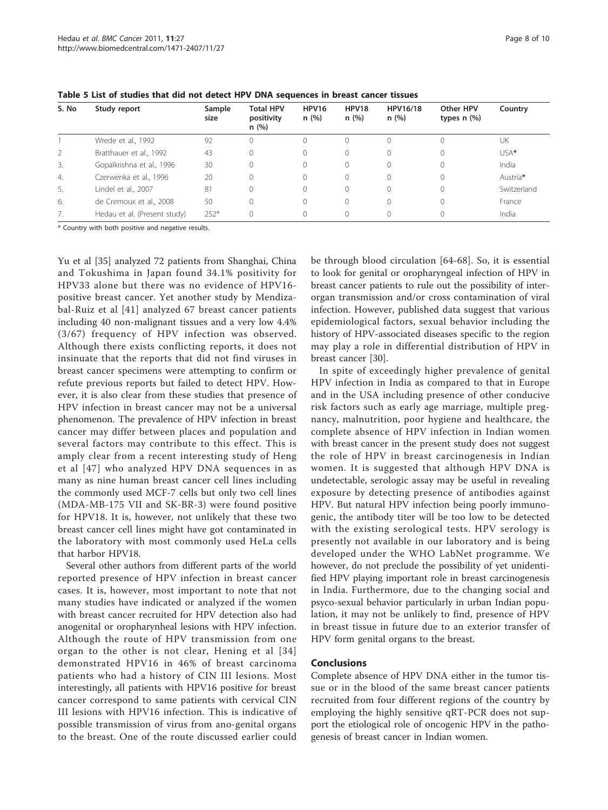| S. No            | Study report                 | Sample<br>size | <b>Total HPV</b><br>positivity<br>n(%) | HPV16<br>n(%) | HPV18<br>n(%) | HPV16/18<br>n(%) | Other HPV<br>types $n$ $(\%)$ | Country     |
|------------------|------------------------------|----------------|----------------------------------------|---------------|---------------|------------------|-------------------------------|-------------|
|                  | Wrede et al., 1992           | 92             | $\Omega$                               | 0             | $\Omega$      |                  | $^{()}$                       | UK          |
| $\mathcal{L}$    | Bratthauer et al., 1992      | 43             |                                        |               | 0             |                  |                               | $USA*$      |
| 3.               | Gopalkrishna et al., 1996    | 30             | $\Omega$                               | $\Omega$      | $\Omega$      |                  | 0                             | India       |
| $\overline{4}$ . | Czerwenka et al., 1996       | 20             |                                        | $\Omega$      | $\Omega$      |                  | 0                             | Austria*    |
| 5.               | Lindel et al., 2007          | 81             | $\Omega$                               | $\Omega$      | $\Omega$      |                  | 0                             | Switzerland |
| 6.               | de Cremoux et al., 2008      | 50             | $\Omega$                               | $\Omega$      | 0             |                  | $\Omega$                      | France      |
| 7.               | Hedau et al. (Present study) | $252*$         |                                        | $\Omega$      | 0             |                  | 0                             | India       |

<span id="page-7-0"></span>Table 5 List of studies that did not detect HPV DNA sequences in breast cancer tissues

\* Country with both positive and negative results.

Yu et al [\[35\]](#page-9-0) analyzed 72 patients from Shanghai, China and Tokushima in Japan found 34.1% positivity for HPV33 alone but there was no evidence of HPV16 positive breast cancer. Yet another study by Mendizabal-Ruiz et al [[41\]](#page-9-0) analyzed 67 breast cancer patients including 40 non-malignant tissues and a very low 4.4% (3/67) frequency of HPV infection was observed. Although there exists conflicting reports, it does not insinuate that the reports that did not find viruses in breast cancer specimens were attempting to confirm or refute previous reports but failed to detect HPV. However, it is also clear from these studies that presence of HPV infection in breast cancer may not be a universal phenomenon. The prevalence of HPV infection in breast cancer may differ between places and population and several factors may contribute to this effect. This is amply clear from a recent interesting study of Heng et al [[47](#page-9-0)] who analyzed HPV DNA sequences in as many as nine human breast cancer cell lines including the commonly used MCF-7 cells but only two cell lines (MDA-MB-175 VII and SK-BR-3) were found positive for HPV18. It is, however, not unlikely that these two breast cancer cell lines might have got contaminated in the laboratory with most commonly used HeLa cells that harbor HPV18.

Several other authors from different parts of the world reported presence of HPV infection in breast cancer cases. It is, however, most important to note that not many studies have indicated or analyzed if the women with breast cancer recruited for HPV detection also had anogenital or oropharynheal lesions with HPV infection. Although the route of HPV transmission from one organ to the other is not clear, Hening et al [[34](#page-9-0)] demonstrated HPV16 in 46% of breast carcinoma patients who had a history of CIN III lesions. Most interestingly, all patients with HPV16 positive for breast cancer correspond to same patients with cervical CIN III lesions with HPV16 infection. This is indicative of possible transmission of virus from ano-genital organs to the breast. One of the route discussed earlier could

be through blood circulation [\[64](#page-9-0)-[68](#page-9-0)]. So, it is essential to look for genital or oropharyngeal infection of HPV in breast cancer patients to rule out the possibility of interorgan transmission and/or cross contamination of viral infection. However, published data suggest that various epidemiological factors, sexual behavior including the history of HPV-associated diseases specific to the region may play a role in differential distribution of HPV in breast cancer [\[30](#page-9-0)].

In spite of exceedingly higher prevalence of genital HPV infection in India as compared to that in Europe and in the USA including presence of other conducive risk factors such as early age marriage, multiple pregnancy, malnutrition, poor hygiene and healthcare, the complete absence of HPV infection in Indian women with breast cancer in the present study does not suggest the role of HPV in breast carcinogenesis in Indian women. It is suggested that although HPV DNA is undetectable, serologic assay may be useful in revealing exposure by detecting presence of antibodies against HPV. But natural HPV infection being poorly immunogenic, the antibody titer will be too low to be detected with the existing serological tests. HPV serology is presently not available in our laboratory and is being developed under the WHO LabNet programme. We however, do not preclude the possibility of yet unidentified HPV playing important role in breast carcinogenesis in India. Furthermore, due to the changing social and psyco-sexual behavior particularly in urban Indian population, it may not be unlikely to find, presence of HPV in breast tissue in future due to an exterior transfer of HPV form genital organs to the breast.

#### Conclusions

Complete absence of HPV DNA either in the tumor tissue or in the blood of the same breast cancer patients recruited from four different regions of the country by employing the highly sensitive qRT-PCR does not support the etiological role of oncogenic HPV in the pathogenesis of breast cancer in Indian women.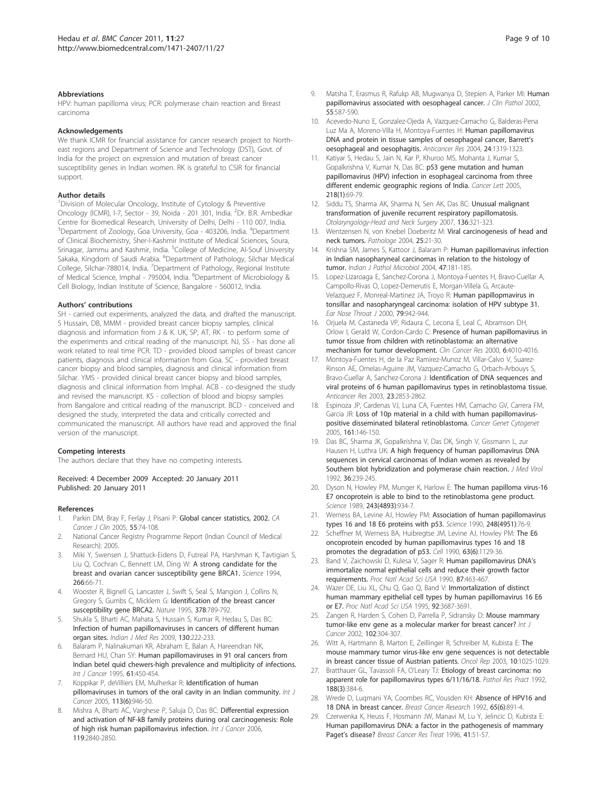#### <span id="page-8-0"></span>Abbreviations

HPV: human papilloma virus; PCR: polymerase chain reaction and Breast carcinoma

#### Acknowledgements

We thank ICMR for financial assistance for cancer research project to Northeast regions and Department of Science and Technology (DST), Govt. of India for the project on expression and mutation of breast cancer susceptibility genes in Indian women. RK is grateful to CSIR for financial support.

#### Author details

<sup>1</sup> Division of Molecular Oncology, Institute of Cytology & Preventive Oncology (ICMR), I-7, Sector - 39, Noida - 201 301, India. <sup>2</sup>Dr. B.R. Ambedkar Centre for Biomedical Research, University of Delhi, Delhi - 110 007, India. <sup>3</sup>Department of Zoology, Goa University, Goa - 403206, India. <sup>4</sup>Department of Clinical Biochemistry, Sher-I-Kashmir Institute of Medical Sciences, Soura, Srinagar, Jammu and Kashmir, India. <sup>5</sup>College of Medicine, Al-Souf University Sakaka, Kingdom of Saudi Arabia. <sup>6</sup>Department of Pathology, Silchar Medical College, Silchar-788014, India. <sup>7</sup>Department of Pathology, Regional Institute of Medical Science, Imphal - 795004, India. <sup>8</sup>Department of Microbiology & Cell Biology, Indian Institute of Science, Bangalore - 560012, India.

#### Authors' contributions

SH - carried out experiments, analyzed the data, and drafted the manuscript. S Hussain, DB, MMM - provided breast cancer biopsy samples, clinical diagnosis and information from J & K. UK, SP, AT, RK - to perform some of the experiments and critical reading of the manuscript. NJ, SS - has done all work related to real time PCR. TD - provided blood samples of breast cancer patients, diagnosis and clinical information from Goa. SC - provided breast cancer biopsy and blood samples, diagnosis and clinical information from Silchar. YMS - provided clinical breast cancer biopsy and blood samples, diagnosis and clinical information from Imphal. ACB - co-designed the study and revised the manuscript. KS - collection of blood and biopsy samples from Bangalore and critical reading of the manuscript. BCD - conceived and designed the study, interpreted the data and critically corrected and communicated the manuscript. All authors have read and approved the final version of the manuscript.

#### Competing interests

The authors declare that they have no competing interests.

Received: 4 December 2009 Accepted: 20 January 2011 Published: 20 January 2011

#### References

- 1. Parkin DM, Bray F, Ferlay J, Pisani P: [Global cancer statistics, 2002.](http://www.ncbi.nlm.nih.gov/pubmed/15761078?dopt=Abstract) CA Cancer J Clin 2005, 55:74-108.
- 2. National Cancer Registry Programme Report (Indian Council of Medical Research): 2005.
- 3. Miki Y, Swensen J, Shattuck-Eidens D, Futreal PA, Harshman K, Tavtigian S, Liu Q, Cochran C, Bennett LM, Ding W: [A strong candidate for the](http://www.ncbi.nlm.nih.gov/pubmed/7545954?dopt=Abstract) [breast and ovarian cancer susceptibility gene BRCA1.](http://www.ncbi.nlm.nih.gov/pubmed/7545954?dopt=Abstract) Science 1994, 266:66-71.
- 4. Wooster R, Bignell G, Lancaster J, Swift S, Seal S, Mangion J, Collins N, Gregory S, Gumbs C, Micklem G: [Identification of the breast cancer](http://www.ncbi.nlm.nih.gov/pubmed/8524414?dopt=Abstract) [susceptibility gene BRCA2.](http://www.ncbi.nlm.nih.gov/pubmed/8524414?dopt=Abstract) Nature 1995, 378:789-792.
- 5. Shukla S, Bharti AC, Mahata S, Hussain S, Kumar R, Hedau S, Das BC: [Infection of human papillomaviruses in cancers of different human](http://www.ncbi.nlm.nih.gov/pubmed/19901431?dopt=Abstract) [organ sites.](http://www.ncbi.nlm.nih.gov/pubmed/19901431?dopt=Abstract) Indian J Med Res 2009, 130:222-233.
- 6. Balaram P, Nalinakumari KR, Abraham E, Balan A, Hareendran NK, Bernard HU, Chan SY: [Human papillomaviruses in 91 oral cancers from](http://www.ncbi.nlm.nih.gov/pubmed/7759149?dopt=Abstract) [Indian betel quid chewers-high prevalence and multiplicity of infections.](http://www.ncbi.nlm.nih.gov/pubmed/7759149?dopt=Abstract) Int J Cancer 1995, 61:450-454.
- 7. Koppikar P, deVilliers EM, Mulherkar R: [Identification of human](http://www.ncbi.nlm.nih.gov/pubmed/15514945?dopt=Abstract) [pillomaviruses in tumors of the oral cavity in an Indian community.](http://www.ncbi.nlm.nih.gov/pubmed/15514945?dopt=Abstract) Int J Cancer 2005, 113(6):946-50.
- Mishra A, Bharti AC, Varghese P, Saluja D, Das BC: [Differential expression](http://www.ncbi.nlm.nih.gov/pubmed/16998793?dopt=Abstract) [and activation of NF-kB family proteins during oral carcinogenesis: Role](http://www.ncbi.nlm.nih.gov/pubmed/16998793?dopt=Abstract) [of high risk human papillomavirus infection.](http://www.ncbi.nlm.nih.gov/pubmed/16998793?dopt=Abstract) Int J Cancer 2006, 119:2840-2850.
- 9. Matsha T, Erasmus R, Rafuko AB, Mugwanya D, Stepien A, Parker MI: [Human](http://www.ncbi.nlm.nih.gov/pubmed/12147651?dopt=Abstract) [papillomavirus associated with oesophageal cancer.](http://www.ncbi.nlm.nih.gov/pubmed/12147651?dopt=Abstract) J Clin Pathol 2002, 55:587-590.
- 10. Acevedo-Nuno E, Gonzalez-Ojeda A, Vazquez-Camacho G, Balderas-Pena Luz Ma A, Moreno-Villa H, Montoya-Fuentes H: [Human papillomavirus](http://www.ncbi.nlm.nih.gov/pubmed/15154668?dopt=Abstract) [DNA and protein in tissue samples of oesophageal cancer, Barrett](http://www.ncbi.nlm.nih.gov/pubmed/15154668?dopt=Abstract)'s [oesophageal and oesophagitis.](http://www.ncbi.nlm.nih.gov/pubmed/15154668?dopt=Abstract) Anticancer Res 2004, 24:1319-1323.
- 11. Katiyar S, Hedau S, Jain N, Kar P, Khuroo MS, Mohanta J, Kumar S, Gopalkrishna V, Kumar N, Das BC: [p53 gene mutation and human](http://www.ncbi.nlm.nih.gov/pubmed/15639342?dopt=Abstract) [papillomavirus \(HPV\) infection in esophageal carcinoma from three](http://www.ncbi.nlm.nih.gov/pubmed/15639342?dopt=Abstract) [different endemic geographic regions of India.](http://www.ncbi.nlm.nih.gov/pubmed/15639342?dopt=Abstract) Cancer Lett 2005, 218(1):69-79.
- 12. Siddu TS, Sharma AK, Sharma N, Sen AK, Das BC: [Unusual malignant](http://www.ncbi.nlm.nih.gov/pubmed/17275567?dopt=Abstract) [transformation of juvenile recurrent respiratory papillomatosis.](http://www.ncbi.nlm.nih.gov/pubmed/17275567?dopt=Abstract) Otolaryngology-Head and Neck Surgery 2007, 136:321-323.
- 13. Wentzensen N, von Knebel Doeberitz M: [Viral carcinogenesis of head and](http://www.ncbi.nlm.nih.gov/pubmed/14767609?dopt=Abstract) [neck tumors.](http://www.ncbi.nlm.nih.gov/pubmed/14767609?dopt=Abstract) Pathologe 2004, 25:21-30.
- 14. Krishna SM, James S, Kattoor J, Balaram P: [Human papillomavirus infection](http://www.ncbi.nlm.nih.gov/pubmed/16295463?dopt=Abstract) [in Indian nasopharyneal carcinomas in relation to the histology of](http://www.ncbi.nlm.nih.gov/pubmed/16295463?dopt=Abstract) [tumor.](http://www.ncbi.nlm.nih.gov/pubmed/16295463?dopt=Abstract) Indian J Pathol Microbiol 2004, 47:181-185.
- 15. Lopez-Lizaroaga E, Sanchez-Corona J, Montoya-Fuentes H, Bravo-Cuellar A, Campollo-Rivas O, Lopez-Demerutis E, Morgan-Villela G, Arcaute-Velazquez F, Monreal-Martinez JA, Troyo R: Human [papillopmavirus in](http://www.ncbi.nlm.nih.gov/pubmed/11191432?dopt=Abstract) [tonsillar and nasopharyngeal carcinoma: isolation of HPV subtype 31.](http://www.ncbi.nlm.nih.gov/pubmed/11191432?dopt=Abstract) Ear Nose Throat J 2000, 79:942-944.
- 16. Orjuela M, Castaneda VP, Ridaura C, Lecona E, Leal C, Abramson DH, Orlow I, Gerald W, Cordon-Cardo C: [Presence of human papillomavirus in](http://www.ncbi.nlm.nih.gov/pubmed/11051250?dopt=Abstract) [tumor tissue from children with retinoblastoma: an alternative](http://www.ncbi.nlm.nih.gov/pubmed/11051250?dopt=Abstract) [mechanism for tumor development.](http://www.ncbi.nlm.nih.gov/pubmed/11051250?dopt=Abstract) Clin Cancer Res 2000, 6:4010-4016.
- 17. Montoya-Fuentes H, de la Paz Ramirez-Munoz M, Villar-Calvo V, Suarez-Rinson AE, Ornelas-Aguirre JM, Vazquez-Camacho G, Orbach-Arbouys S, Bravo-Cuellar A, Sanchez-Corona J: [Identification of DNA sequences and](http://www.ncbi.nlm.nih.gov/pubmed/12926123?dopt=Abstract) [viral proteins of 6 human papillomavirus types in retinoblastoma tissue.](http://www.ncbi.nlm.nih.gov/pubmed/12926123?dopt=Abstract) Anticancer Res 2003, 23:2853-2862.
- 18. Espinoza JP, Cardenas VJ, Luna CA, Fuentes HM, Camacho GV, Carrera FM, Garcia JR: [Loss of 10p material in a child with human papillomavirus](http://www.ncbi.nlm.nih.gov/pubmed/16102585?dopt=Abstract)[positive disseminated bilateral retinoblastoma.](http://www.ncbi.nlm.nih.gov/pubmed/16102585?dopt=Abstract) Cancer Genet Cytogenet 2005, 161:146-150.
- 19. Das BC, Sharma JK, Gopalkrishna V, Das DK, Singh V, Gissmann L, zur Hausen H, Luthra UK: [A high frequency of human papillomavirus DNA](http://www.ncbi.nlm.nih.gov/pubmed/1315836?dopt=Abstract) [sequences in cervical carcinomas of Indian women as revealed by](http://www.ncbi.nlm.nih.gov/pubmed/1315836?dopt=Abstract) [Southern blot hybridization and polymerase chain reaction.](http://www.ncbi.nlm.nih.gov/pubmed/1315836?dopt=Abstract) J Med Virol 1992, 36:239-245.
- 20. Dyson N, Howley PM, Munger K, Harlow E: [The human papilloma virus-16](http://www.ncbi.nlm.nih.gov/pubmed/2537532?dopt=Abstract) [E7 oncoprotein is able to bind to the retinoblastoma gene product.](http://www.ncbi.nlm.nih.gov/pubmed/2537532?dopt=Abstract) Science 1989, 243(4893):934-7.
- 21. Werness BA, Levine AJ, Howley PM: [Association of human papillomavirus](http://www.ncbi.nlm.nih.gov/pubmed/2157286?dopt=Abstract) [types 16 and 18 E6 proteins with p53.](http://www.ncbi.nlm.nih.gov/pubmed/2157286?dopt=Abstract) Science 1990, 248(4951):76-9.
- 22. Scheffner M, Werness BA, Huibregtse JM, Levine AJ, Howley PM: [The E6](http://www.ncbi.nlm.nih.gov/pubmed/2175676?dopt=Abstract) [oncoprotein encoded by human papillomavirus types 16 and 18](http://www.ncbi.nlm.nih.gov/pubmed/2175676?dopt=Abstract) [promotes the degradation of p53.](http://www.ncbi.nlm.nih.gov/pubmed/2175676?dopt=Abstract) Cell 1990, 63(6):1129-36.
- 23. Band V, Zaichowski D, Kulesa V, Sager R: [Human papillomavirus DNA](http://www.ncbi.nlm.nih.gov/pubmed/2153303?dopt=Abstract)'s [immortalize normal epithelial cells and reduce their growth factor](http://www.ncbi.nlm.nih.gov/pubmed/2153303?dopt=Abstract) [requirements.](http://www.ncbi.nlm.nih.gov/pubmed/2153303?dopt=Abstract) Proc Natl Acad Sci USA 1990, 87:463-467.
- 24. Wazer DE, Liu XL, Chu Q, Gao Q, Band V: [Immortalization of distinct](http://www.ncbi.nlm.nih.gov/pubmed/7537374?dopt=Abstract) [human mammary epithelial cell types by human papillomavirus 16 E6](http://www.ncbi.nlm.nih.gov/pubmed/7537374?dopt=Abstract) [or E7.](http://www.ncbi.nlm.nih.gov/pubmed/7537374?dopt=Abstract) Proc Natl Acad Sci USA 1995, 92:3687-3691.
- 25. Zangen R, Harden S, Cohen D, Parrella P, Sidransky D: [Mouse mammary](http://www.ncbi.nlm.nih.gov/pubmed/12397656?dopt=Abstract) [tumor-like env gene as a molecular marker for breast cancer?](http://www.ncbi.nlm.nih.gov/pubmed/12397656?dopt=Abstract) Int J Cancer 2002, 102:304-307.
- 26. Witt A, Hartmann B, Marton E, Zeillinger R, Schreiber M, Kubista E: [The](http://www.ncbi.nlm.nih.gov/pubmed/12792764?dopt=Abstract) [mouse mammary tumor virus-like env gene sequences is not detectable](http://www.ncbi.nlm.nih.gov/pubmed/12792764?dopt=Abstract) [in breast cancer tissue of Austrian patients.](http://www.ncbi.nlm.nih.gov/pubmed/12792764?dopt=Abstract) Oncol Rep 2003, 10:1025-1029.
- 27. Bratthauer GL, Tavassoli FA, O'Leary TJ: [Etiology of breast carcinoma: no](http://www.ncbi.nlm.nih.gov/pubmed/1320761?dopt=Abstract) [apparent role for papillomavirus types 6/11/16/18.](http://www.ncbi.nlm.nih.gov/pubmed/1320761?dopt=Abstract) Pathol Res Pract 1992, 188(3):384-6.
- 28. Wrede D, Luqmani YA, Coombes RC, Vousden KH: Absence of HPV16 and 18 DNA in breast cancer. Breast Cancer Research 1992, 65(6):891-4.
- 29. Czerwenka K, Heuss F, Hosmann JW, Manavi M, Lu Y, Jelincic D, Kubista E: [Human papillomavirus DNA: a factor in the pathogenesis of mammary](http://www.ncbi.nlm.nih.gov/pubmed/8932876?dopt=Abstract) Paget'[s disease?](http://www.ncbi.nlm.nih.gov/pubmed/8932876?dopt=Abstract) Breast Cancer Res Treat 1996, 41:51-57.